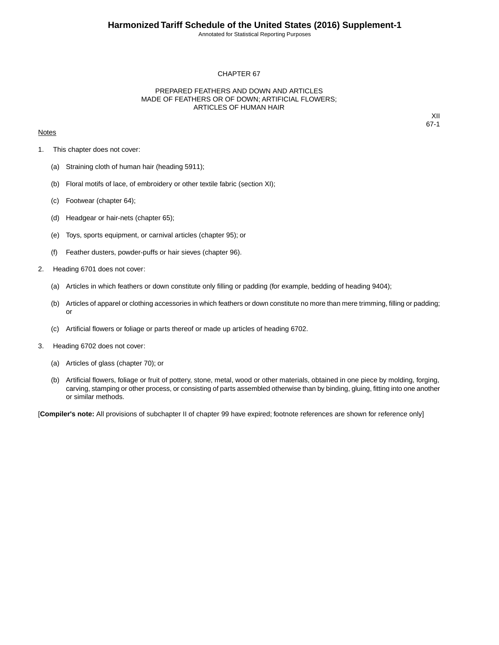Annotated for Statistical Reporting Purposes

## CHAPTER 67

## PREPARED FEATHERS AND DOWN AND ARTICLES MADE OF FEATHERS OR OF DOWN; ARTIFICIAL FLOWERS; ARTICLES OF HUMAN HAIR

## **Notes**

XII 67-1

- 1. This chapter does not cover:
	- (a) Straining cloth of human hair (heading 5911);
	- (b) Floral motifs of lace, of embroidery or other textile fabric (section XI);
	- (c) Footwear (chapter 64);
	- (d) Headgear or hair-nets (chapter 65);
	- (e) Toys, sports equipment, or carnival articles (chapter 95); or
	- (f) Feather dusters, powder-puffs or hair sieves (chapter 96).
- 2. Heading 6701 does not cover:
	- (a) Articles in which feathers or down constitute only filling or padding (for example, bedding of heading 9404);
	- (b) Articles of apparel or clothing accessories in which feathers or down constitute no more than mere trimming, filling or padding; or
	- (c) Artificial flowers or foliage or parts thereof or made up articles of heading 6702.
- 3. Heading 6702 does not cover:
	- (a) Articles of glass (chapter 70); or
	- (b) Artificial flowers, foliage or fruit of pottery, stone, metal, wood or other materials, obtained in one piece by molding, forging, carving, stamping or other process, or consisting of parts assembled otherwise than by binding, gluing, fitting into one another or similar methods.

[**Compiler's note:** All provisions of subchapter II of chapter 99 have expired; footnote references are shown for reference only]